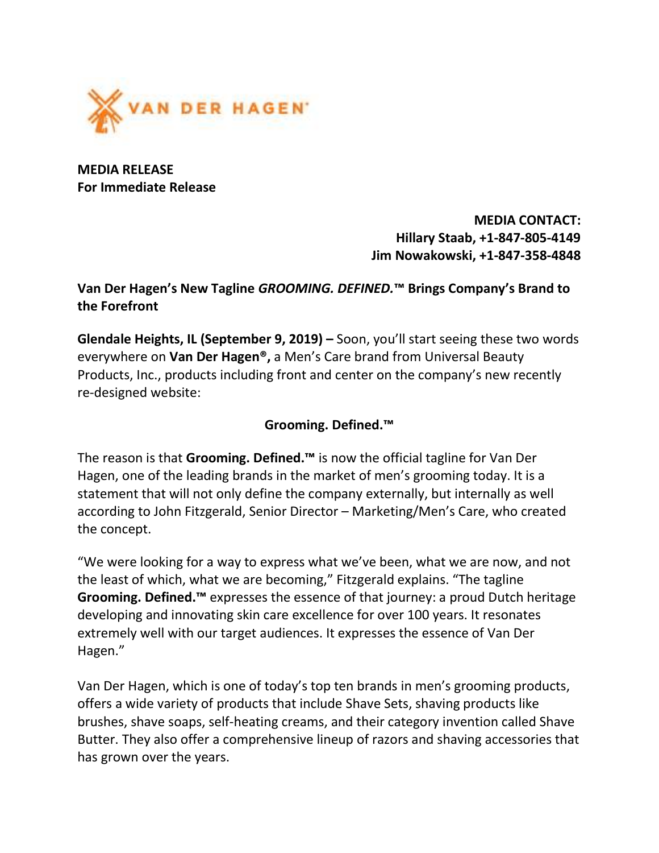

MEDIA RELEASE For Immediate Release

> MEDIA CONTACT: Hillary Staab, +1-847-805-4149 Jim Nowakowski, +1-847-358-4848

## Van Der Hagen's New Tagline GROOMING. DEFINED.™ Brings Company's Brand to the Forefront

Glendale Heights, IL (September 9, 2019) – Soon, you'll start seeing these two words everywhere on Van Der Hagen®, a Men's Care brand from Universal Beauty Products, Inc., products including front and center on the company's new recently re-designed website:

## Grooming. Defined.™

The reason is that Grooming. Defined.™ is now the official tagline for Van Der Hagen, one of the leading brands in the market of men's grooming today. It is a statement that will not only define the company externally, but internally as well according to John Fitzgerald, Senior Director – Marketing/Men's Care, who created the concept.

"We were looking for a way to express what we've been, what we are now, and not the least of which, what we are becoming," Fitzgerald explains. "The tagline Grooming. Defined.<sup>™</sup> expresses the essence of that journey: a proud Dutch heritage developing and innovating skin care excellence for over 100 years. It resonates extremely well with our target audiences. It expresses the essence of Van Der Hagen."

Van Der Hagen, which is one of today's top ten brands in men's grooming products, offers a wide variety of products that include Shave Sets, shaving products like brushes, shave soaps, self-heating creams, and their category invention called Shave Butter. They also offer a comprehensive lineup of razors and shaving accessories that has grown over the years.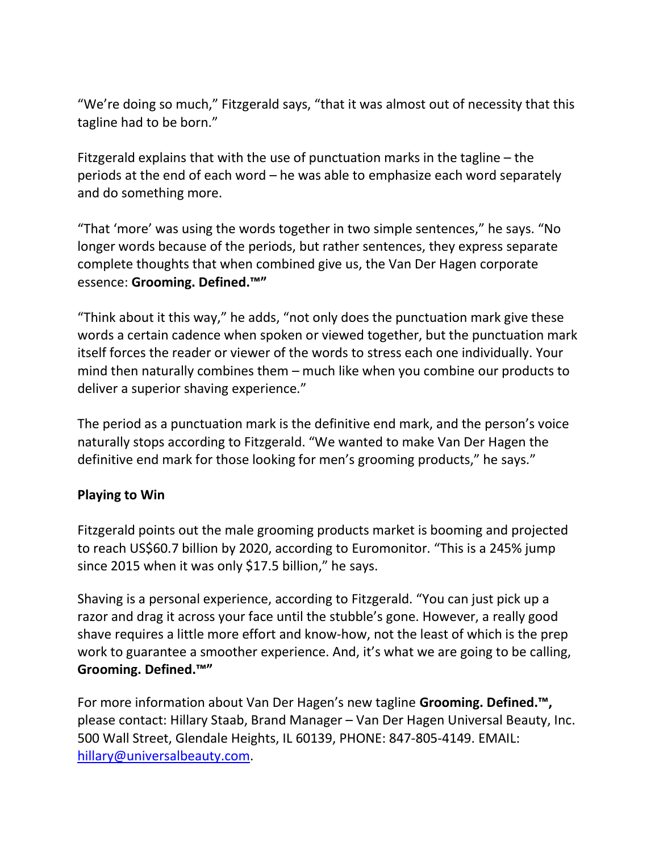"We're doing so much," Fitzgerald says, "that it was almost out of necessity that this tagline had to be born."

Fitzgerald explains that with the use of punctuation marks in the tagline – the periods at the end of each word – he was able to emphasize each word separately and do something more.

"That 'more' was using the words together in two simple sentences," he says. "No longer words because of the periods, but rather sentences, they express separate complete thoughts that when combined give us, the Van Der Hagen corporate essence: Grooming. Defined.™"

"Think about it this way," he adds, "not only does the punctuation mark give these words a certain cadence when spoken or viewed together, but the punctuation mark itself forces the reader or viewer of the words to stress each one individually. Your mind then naturally combines them – much like when you combine our products to deliver a superior shaving experience."

The period as a punctuation mark is the definitive end mark, and the person's voice naturally stops according to Fitzgerald. "We wanted to make Van Der Hagen the definitive end mark for those looking for men's grooming products," he says."

## Playing to Win

Fitzgerald points out the male grooming products market is booming and projected to reach US\$60.7 billion by 2020, according to Euromonitor. "This is a 245% jump since 2015 when it was only \$17.5 billion," he says.

Shaving is a personal experience, according to Fitzgerald. "You can just pick up a razor and drag it across your face until the stubble's gone. However, a really good shave requires a little more effort and know-how, not the least of which is the prep work to guarantee a smoother experience. And, it's what we are going to be calling, Grooming. Defined.™"

For more information about Van Der Hagen's new tagline Grooming. Defined.™, please contact: Hillary Staab, Brand Manager – Van Der Hagen Universal Beauty, Inc. 500 Wall Street, Glendale Heights, IL 60139, PHONE: 847-805-4149. EMAIL: hillary@universalbeauty.com.